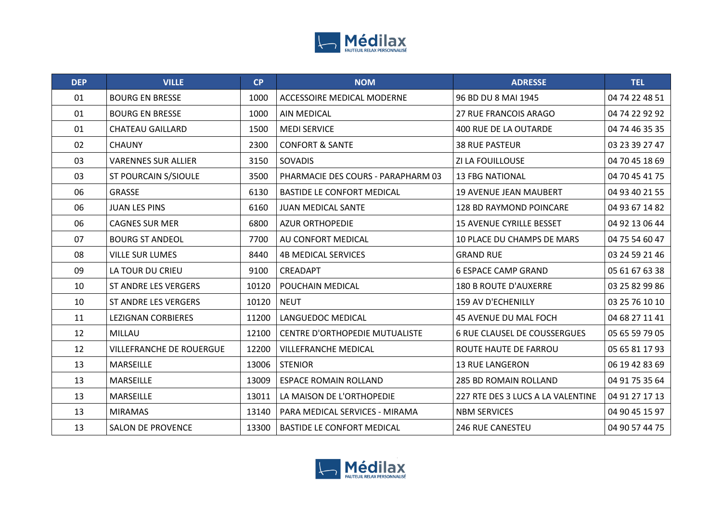

| <b>DEP</b> | <b>VILLE</b>                    | CP    | <b>NOM</b>                            | <b>ADRESSE</b>                      | <b>TEL</b>     |
|------------|---------------------------------|-------|---------------------------------------|-------------------------------------|----------------|
| 01         | <b>BOURG EN BRESSE</b>          | 1000  | ACCESSOIRE MEDICAL MODERNE            | 96 BD DU 8 MAI 1945                 | 04 74 22 48 51 |
| 01         | <b>BOURG EN BRESSE</b>          | 1000  | <b>AIN MEDICAL</b>                    | <b>27 RUE FRANCOIS ARAGO</b>        | 04 74 22 92 92 |
| 01         | <b>CHATEAU GAILLARD</b>         | 1500  | <b>MEDI SERVICE</b>                   | 400 RUE DE LA OUTARDE               | 04 74 46 35 35 |
| 02         | <b>CHAUNY</b>                   | 2300  | <b>CONFORT &amp; SANTE</b>            | <b>38 RUE PASTEUR</b>               | 03 23 39 27 47 |
| 03         | <b>VARENNES SUR ALLIER</b>      | 3150  | SOVADIS                               | ZI LA FOUILLOUSE                    | 04 70 45 18 69 |
| 03         | ST POURCAIN S/SIOULE            | 3500  | PHARMACIE DES COURS - PARAPHARM 03    | <b>13 FBG NATIONAL</b>              | 04 70 45 41 75 |
| 06         | <b>GRASSE</b>                   | 6130  | <b>BASTIDE LE CONFORT MEDICAL</b>     | <b>19 AVENUE JEAN MAUBERT</b>       | 04 93 40 21 55 |
| 06         | <b>JUAN LES PINS</b>            | 6160  | <b>JUAN MEDICAL SANTE</b>             | 128 BD RAYMOND POINCARE             | 04 93 67 14 82 |
| 06         | <b>CAGNES SUR MER</b>           | 6800  | <b>AZUR ORTHOPEDIE</b>                | <b>15 AVENUE CYRILLE BESSET</b>     | 04 92 13 06 44 |
| 07         | <b>BOURG ST ANDEOL</b>          | 7700  | AU CONFORT MEDICAL                    | 10 PLACE DU CHAMPS DE MARS          | 04 75 54 60 47 |
| 08         | <b>VILLE SUR LUMES</b>          | 8440  | <b>4B MEDICAL SERVICES</b>            | <b>GRAND RUE</b>                    | 03 24 59 21 46 |
| 09         | LA TOUR DU CRIEU                | 9100  | CREADAPT                              | <b>6 ESPACE CAMP GRAND</b>          | 05 61 67 63 38 |
| 10         | <b>ST ANDRE LES VERGERS</b>     | 10120 | POUCHAIN MEDICAL                      | <b>180 B ROUTE D'AUXERRE</b>        | 03 25 82 99 86 |
| 10         | <b>ST ANDRE LES VERGERS</b>     | 10120 | <b>NEUT</b>                           | 159 AV D'ECHENILLY                  | 03 25 76 10 10 |
| 11         | <b>LEZIGNAN CORBIERES</b>       | 11200 | LANGUEDOC MEDICAL                     | 45 AVENUE DU MAL FOCH               | 04 68 27 11 41 |
| 12         | MILLAU                          | 12100 | <b>CENTRE D'ORTHOPEDIE MUTUALISTE</b> | <b>6 RUE CLAUSEL DE COUSSERGUES</b> | 05 65 59 79 05 |
| 12         | <b>VILLEFRANCHE DE ROUERGUE</b> | 12200 | <b>VILLEFRANCHE MEDICAL</b>           | ROUTE HAUTE DE FARROU               | 05 65 81 17 93 |
| 13         | MARSEILLE                       | 13006 | <b>STENIOR</b>                        | <b>13 RUE LANGERON</b>              | 06 19 42 83 69 |
| 13         | MARSEILLE                       | 13009 | <b>ESPACE ROMAIN ROLLAND</b>          | <b>285 BD ROMAIN ROLLAND</b>        | 04 91 75 35 64 |
| 13         | MARSEILLE                       | 13011 | LA MAISON DE L'ORTHOPEDIE             | 227 RTE DES 3 LUCS A LA VALENTINE   | 04 91 27 17 13 |
| 13         | <b>MIRAMAS</b>                  | 13140 | PARA MEDICAL SERVICES - MIRAMA        | <b>NBM SERVICES</b>                 | 04 90 45 15 97 |
| 13         | <b>SALON DE PROVENCE</b>        | 13300 | <b>BASTIDE LE CONFORT MEDICAL</b>     | <b>246 RUE CANESTEU</b>             | 04 90 57 44 75 |

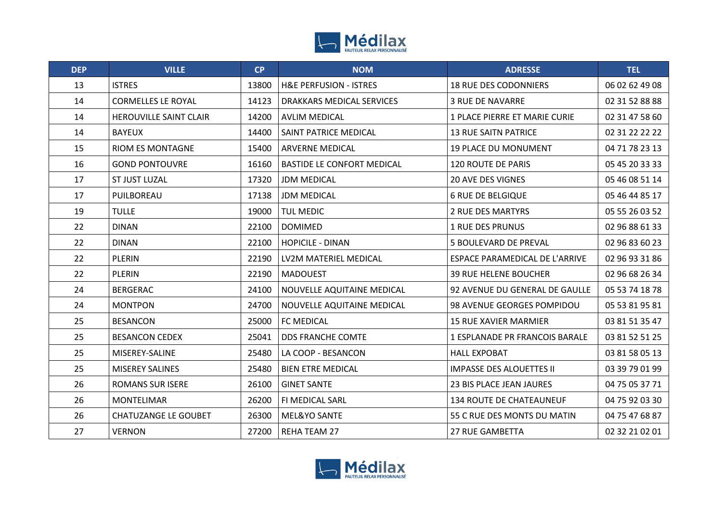

| <b>DEP</b> | <b>VILLE</b>                  | CP    | <b>NOM</b>                        | <b>ADRESSE</b>                        | <b>TEL</b>     |
|------------|-------------------------------|-------|-----------------------------------|---------------------------------------|----------------|
| 13         | <b>ISTRES</b>                 | 13800 | <b>H&amp;E PERFUSION - ISTRES</b> | <b>18 RUE DES CODONNIERS</b>          | 06 02 62 49 08 |
| 14         | <b>CORMELLES LE ROYAL</b>     | 14123 | DRAKKARS MEDICAL SERVICES         | <b>3 RUE DE NAVARRE</b>               | 02 31 52 88 88 |
| 14         | <b>HEROUVILLE SAINT CLAIR</b> | 14200 | <b>AVLIM MEDICAL</b>              | 1 PLACE PIERRE ET MARIE CURIE         | 02 31 47 58 60 |
| 14         | <b>BAYEUX</b>                 | 14400 | SAINT PATRICE MEDICAL             | <b>13 RUE SAITN PATRICE</b>           | 02 31 22 22 22 |
| 15         | <b>RIOM ES MONTAGNE</b>       | 15400 | <b>ARVERNE MEDICAL</b>            | <b>19 PLACE DU MONUMENT</b>           | 04 71 78 23 13 |
| 16         | <b>GOND PONTOUVRE</b>         | 16160 | <b>BASTIDE LE CONFORT MEDICAL</b> | <b>120 ROUTE DE PARIS</b>             | 05 45 20 33 33 |
| 17         | ST JUST LUZAL                 | 17320 | <b>JDM MEDICAL</b>                | <b>20 AVE DES VIGNES</b>              | 05 46 08 51 14 |
| 17         | PUILBOREAU                    | 17138 | <b>JDM MEDICAL</b>                | <b>6 RUE DE BELGIQUE</b>              | 05 46 44 85 17 |
| 19         | <b>TULLE</b>                  | 19000 | <b>TUL MEDIC</b>                  | <b>2 RUE DES MARTYRS</b>              | 05 55 26 03 52 |
| 22         | <b>DINAN</b>                  | 22100 | <b>DOMIMED</b>                    | <b>1 RUE DES PRUNUS</b>               | 02 96 88 61 33 |
| 22         | <b>DINAN</b>                  | 22100 | <b>HOPICILE - DINAN</b>           | <b>5 BOULEVARD DE PREVAL</b>          | 02 96 83 60 23 |
| 22         | PLERIN                        | 22190 | LV2M MATERIEL MEDICAL             | ESPACE PARAMEDICAL DE L'ARRIVE        | 02 96 93 31 86 |
| 22         | <b>PLERIN</b>                 | 22190 | <b>MADOUEST</b>                   | <b>39 RUE HELENE BOUCHER</b>          | 02 96 68 26 34 |
| 24         | <b>BERGERAC</b>               | 24100 | NOUVELLE AQUITAINE MEDICAL        | 92 AVENUE DU GENERAL DE GAULLE        | 05 53 74 18 78 |
| 24         | <b>MONTPON</b>                | 24700 | NOUVELLE AQUITAINE MEDICAL        | 98 AVENUE GEORGES POMPIDOU            | 05 53 81 95 81 |
| 25         | <b>BESANCON</b>               | 25000 | <b>FC MEDICAL</b>                 | <b>15 RUE XAVIER MARMIER</b>          | 03 81 51 35 47 |
| 25         | <b>BESANCON CEDEX</b>         | 25041 | <b>DDS FRANCHE COMTE</b>          | <b>1 ESPLANADE PR FRANCOIS BARALE</b> | 03 81 52 51 25 |
| 25         | MISEREY-SALINE                | 25480 | LA COOP - BESANCON                | <b>HALL EXPOBAT</b>                   | 03 81 58 05 13 |
| 25         | <b>MISEREY SALINES</b>        | 25480 | <b>BIEN ETRE MEDICAL</b>          | <b>IMPASSE DES ALOUETTES II</b>       | 03 39 79 01 99 |
| 26         | <b>ROMANS SUR ISERE</b>       | 26100 | <b>GINET SANTE</b>                | 23 BIS PLACE JEAN JAURES              | 04 75 05 37 71 |
| 26         | <b>MONTELIMAR</b>             | 26200 | <b>FI MEDICAL SARL</b>            | <b>134 ROUTE DE CHATEAUNEUF</b>       | 04 75 92 03 30 |
| 26         | <b>CHATUZANGE LE GOUBET</b>   | 26300 | MEL&YO SANTE                      | 55 C RUE DES MONTS DU MATIN           | 04 75 47 68 87 |
| 27         | <b>VERNON</b>                 | 27200 | <b>REHA TEAM 27</b>               | <b>27 RUE GAMBETTA</b>                | 02 32 21 02 01 |

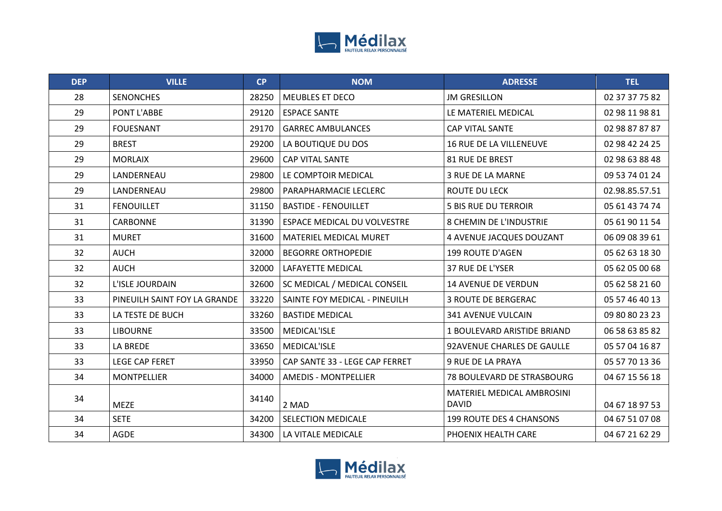

| <b>DEP</b> | <b>VILLE</b>                 | <b>CP</b> | <b>NOM</b>                         | <b>ADRESSE</b>                                    | <b>TEL</b>     |
|------------|------------------------------|-----------|------------------------------------|---------------------------------------------------|----------------|
| 28         | <b>SENONCHES</b>             | 28250     | MEUBLES ET DECO                    | <b>JM GRESILLON</b>                               | 02 37 37 75 82 |
| 29         | PONT L'ABBE                  | 29120     | <b>ESPACE SANTE</b>                | LE MATERIEL MEDICAL                               | 02 98 11 98 81 |
| 29         | <b>FOUESNANT</b>             | 29170     | <b>GARREC AMBULANCES</b>           | <b>CAP VITAL SANTE</b>                            | 02 98 87 87 87 |
| 29         | <b>BREST</b>                 | 29200     | LA BOUTIQUE DU DOS                 | <b>16 RUE DE LA VILLENEUVE</b>                    | 02 98 42 24 25 |
| 29         | <b>MORLAIX</b>               | 29600     | CAP VITAL SANTE                    | 81 RUE DE BREST                                   | 02 98 63 88 48 |
| 29         | LANDERNEAU                   | 29800     | LE COMPTOIR MEDICAL                | <b>3 RUE DE LA MARNE</b>                          | 09 53 74 01 24 |
| 29         | LANDERNEAU                   | 29800     | <b>PARAPHARMACIE LECLERC</b>       | ROUTE DU LECK                                     | 02.98.85.57.51 |
| 31         | <b>FENOUILLET</b>            | 31150     | <b>BASTIDE - FENOUILLET</b>        | <b>5 BIS RUE DU TERROIR</b>                       | 05 61 43 74 74 |
| 31         | <b>CARBONNE</b>              | 31390     | <b>ESPACE MEDICAL DU VOLVESTRE</b> | <b>8 CHEMIN DE L'INDUSTRIE</b>                    | 05 61 90 11 54 |
| 31         | <b>MURET</b>                 | 31600     | <b>MATERIEL MEDICAL MURET</b>      | 4 AVENUE JACQUES DOUZANT                          | 06 09 08 39 61 |
| 32         | <b>AUCH</b>                  | 32000     | <b>BEGORRE ORTHOPEDIE</b>          | 199 ROUTE D'AGEN                                  | 05 62 63 18 30 |
| 32         | <b>AUCH</b>                  | 32000     | LAFAYETTE MEDICAL                  | 37 RUE DE L'YSER                                  | 05 62 05 00 68 |
| 32         | L'ISLE JOURDAIN              | 32600     | SC MEDICAL / MEDICAL CONSEIL       | 14 AVENUE DE VERDUN                               | 05 62 58 21 60 |
| 33         | PINEUILH SAINT FOY LA GRANDE | 33220     | SAINTE FOY MEDICAL - PINEUILH      | <b>3 ROUTE DE BERGERAC</b>                        | 05 57 46 40 13 |
| 33         | LA TESTE DE BUCH             | 33260     | <b>BASTIDE MEDICAL</b>             | 341 AVENUE VULCAIN                                | 09 80 80 23 23 |
| 33         | <b>LIBOURNE</b>              | 33500     | MEDICAL'ISLE                       | 1 BOULEVARD ARISTIDE BRIAND                       | 06 58 63 85 82 |
| 33         | LA BREDE                     | 33650     | MEDICAL'ISLE                       | 92AVENUE CHARLES DE GAULLE                        | 05 57 04 16 87 |
| 33         | <b>LEGE CAP FERET</b>        | 33950     | CAP SANTE 33 - LEGE CAP FERRET     | 9 RUE DE LA PRAYA                                 | 05 57 70 13 36 |
| 34         | <b>MONTPELLIER</b>           | 34000     | <b>AMEDIS - MONTPELLIER</b>        | 78 BOULEVARD DE STRASBOURG                        | 04 67 15 56 18 |
| 34         | <b>MEZE</b>                  | 34140     | 2 MAD                              | <b>MATERIEL MEDICAL AMBROSINI</b><br><b>DAVID</b> | 04 67 18 97 53 |
| 34         | <b>SETE</b>                  | 34200     | SELECTION MEDICALE                 | <b>199 ROUTE DES 4 CHANSONS</b>                   | 04 67 51 07 08 |
| 34         | <b>AGDE</b>                  | 34300     | LA VITALE MEDICALE                 | PHOENIX HEALTH CARE                               | 04 67 21 62 29 |

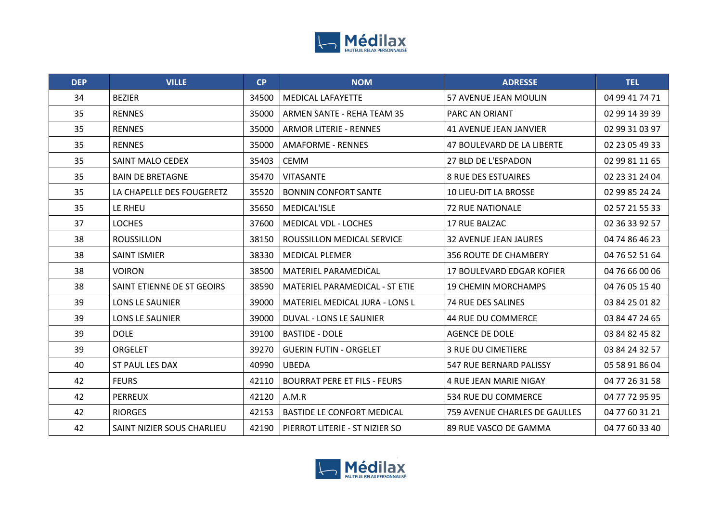

| <b>DEP</b> | <b>VILLE</b>               | CP    | <b>NOM</b>                            | <b>ADRESSE</b>                | <b>TEL</b>     |
|------------|----------------------------|-------|---------------------------------------|-------------------------------|----------------|
| 34         | <b>BEZIER</b>              | 34500 | <b>MEDICAL LAFAYETTE</b>              | 57 AVENUE JEAN MOULIN         | 04 99 41 74 71 |
| 35         | <b>RENNES</b>              | 35000 | ARMEN SANTE - REHA TEAM 35            | PARC AN ORIANT                | 02 99 14 39 39 |
| 35         | <b>RENNES</b>              | 35000 | <b>ARMOR LITERIE - RENNES</b>         | <b>41 AVENUE JEAN JANVIER</b> | 02 99 31 03 97 |
| 35         | <b>RENNES</b>              | 35000 | <b>AMAFORME - RENNES</b>              | 47 BOULEVARD DE LA LIBERTE    | 02 23 05 49 33 |
| 35         | SAINT MALO CEDEX           | 35403 | <b>CEMM</b>                           | 27 BLD DE L'ESPADON           | 02 99 81 11 65 |
| 35         | <b>BAIN DE BRETAGNE</b>    | 35470 | <b>VITASANTE</b>                      | <b>8 RUE DES ESTUAIRES</b>    | 02 23 31 24 04 |
| 35         | LA CHAPELLE DES FOUGERETZ  | 35520 | BONNIN CONFORT SANTE                  | <b>10 LIEU-DIT LA BROSSE</b>  | 02 99 85 24 24 |
| 35         | LE RHEU                    | 35650 | MEDICAL'ISLE                          | <b>72 RUE NATIONALE</b>       | 02 57 21 55 33 |
| 37         | <b>LOCHES</b>              | 37600 | MEDICAL VDL - LOCHES                  | 17 RUE BALZAC                 | 02 36 33 92 57 |
| 38         | <b>ROUSSILLON</b>          | 38150 | ROUSSILLON MEDICAL SERVICE            | <b>32 AVENUE JEAN JAURES</b>  | 04 74 86 46 23 |
| 38         | <b>SAINT ISMIER</b>        | 38330 | <b>MEDICAL PLEMER</b>                 | <b>356 ROUTE DE CHAMBERY</b>  | 04 76 52 51 64 |
| 38         | <b>VOIRON</b>              | 38500 | <b>MATERIEL PARAMEDICAL</b>           | 17 BOULEVARD EDGAR KOFIER     | 04 76 66 00 06 |
| 38         | SAINT ETIENNE DE ST GEOIRS | 38590 | MATERIEL PARAMEDICAL - ST ETIE        | <b>19 CHEMIN MORCHAMPS</b>    | 04 76 05 15 40 |
| 39         | LONS LE SAUNIER            | 39000 | <b>MATERIEL MEDICAL JURA - LONS L</b> | 74 RUE DES SALINES            | 03 84 25 01 82 |
| 39         | LONS LE SAUNIER            | 39000 | DUVAL - LONS LE SAUNIER               | 44 RUE DU COMMERCE            | 03 84 47 24 65 |
| 39         | <b>DOLE</b>                | 39100 | <b>BASTIDE - DOLE</b>                 | <b>AGENCE DE DOLE</b>         | 03 84 82 45 82 |
| 39         | <b>ORGELET</b>             | 39270 | <b>GUERIN FUTIN - ORGELET</b>         | <b>3 RUE DU CIMETIERE</b>     | 03 84 24 32 57 |
| 40         | ST PAUL LES DAX            | 40990 | <b>UBEDA</b>                          | 547 RUE BERNARD PALISSY       | 05 58 91 86 04 |
| 42         | <b>FEURS</b>               | 42110 | <b>BOURRAT PERE ET FILS - FEURS</b>   | 4 RUE JEAN MARIE NIGAY        | 04 77 26 31 58 |
| 42         | <b>PERREUX</b>             | 42120 | A.M.R                                 | 534 RUE DU COMMERCE           | 04 77 72 95 95 |
| 42         | <b>RIORGES</b>             | 42153 | <b>BASTIDE LE CONFORT MEDICAL</b>     | 759 AVENUE CHARLES DE GAULLES | 04 77 60 31 21 |
| 42         | SAINT NIZIER SOUS CHARLIEU | 42190 | PIERROT LITERIE - ST NIZIER SO        | 89 RUE VASCO DE GAMMA         | 04 77 60 33 40 |

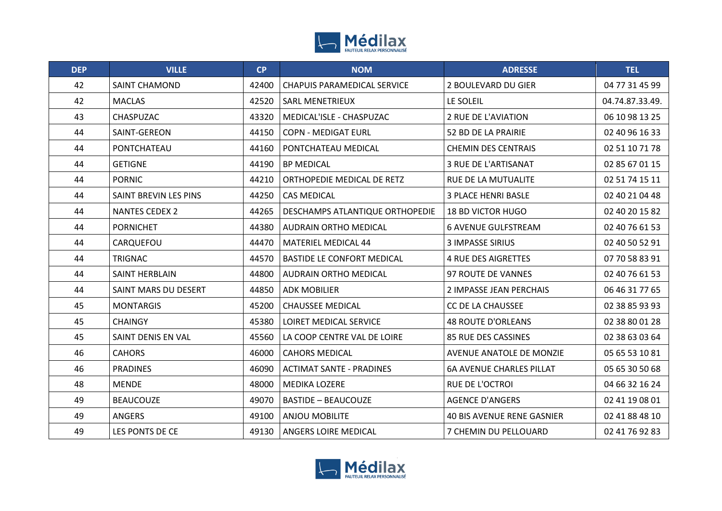

| <b>DEP</b> | <b>VILLE</b>          | CP    | <b>NOM</b>                         | <b>ADRESSE</b>                    | <b>TEL</b>      |
|------------|-----------------------|-------|------------------------------------|-----------------------------------|-----------------|
| 42         | SAINT CHAMOND         | 42400 | <b>CHAPUIS PARAMEDICAL SERVICE</b> | 2 BOULEVARD DU GIER               | 04 77 31 45 99  |
| 42         | <b>MACLAS</b>         | 42520 | <b>SARL MENETRIEUX</b>             | LE SOLEIL                         | 04.74.87.33.49. |
| 43         | <b>CHASPUZAC</b>      | 43320 | MEDICAL'ISLE - CHASPUZAC           | 2 RUE DE L'AVIATION               | 06 10 98 13 25  |
| 44         | SAINT-GEREON          | 44150 | <b>COPN - MEDIGAT EURL</b>         | 52 BD DE LA PRAIRIE               | 02 40 96 16 33  |
| 44         | PONTCHATEAU           | 44160 | PONTCHATEAU MEDICAL                | <b>CHEMIN DES CENTRAIS</b>        | 02 51 10 71 78  |
| 44         | <b>GETIGNE</b>        | 44190 | <b>BP MEDICAL</b>                  | 3 RUE DE L'ARTISANAT              | 02 85 67 01 15  |
| 44         | <b>PORNIC</b>         | 44210 | ORTHOPEDIE MEDICAL DE RETZ         | RUE DE LA MUTUALITE               | 02 51 74 15 11  |
| 44         | SAINT BREVIN LES PINS | 44250 | <b>CAS MEDICAL</b>                 | <b>3 PLACE HENRI BASLE</b>        | 02 40 21 04 48  |
| 44         | <b>NANTES CEDEX 2</b> | 44265 | DESCHAMPS ATLANTIQUE ORTHOPEDIE    | <b>18 BD VICTOR HUGO</b>          | 02 40 20 15 82  |
| 44         | <b>PORNICHET</b>      | 44380 | <b>AUDRAIN ORTHO MEDICAL</b>       | <b>6 AVENUE GULFSTREAM</b>        | 02 40 76 61 53  |
| 44         | CARQUEFOU             | 44470 | <b>MATERIEL MEDICAL 44</b>         | <b>3 IMPASSE SIRIUS</b>           | 02 40 50 52 91  |
| 44         | <b>TRIGNAC</b>        | 44570 | <b>BASTIDE LE CONFORT MEDICAL</b>  | <b>4 RUE DES AIGRETTES</b>        | 07 70 58 83 91  |
| 44         | SAINT HERBLAIN        | 44800 | <b>AUDRAIN ORTHO MEDICAL</b>       | 97 ROUTE DE VANNES                | 02 40 76 61 53  |
| 44         | SAINT MARS DU DESERT  | 44850 | <b>ADK MOBILIER</b>                | 2 IMPASSE JEAN PERCHAIS           | 06 46 31 77 65  |
| 45         | <b>MONTARGIS</b>      | 45200 | <b>CHAUSSEE MEDICAL</b>            | <b>CC DE LA CHAUSSEE</b>          | 02 38 85 93 93  |
| 45         | <b>CHAINGY</b>        | 45380 | LOIRET MEDICAL SERVICE             | <b>48 ROUTE D'ORLEANS</b>         | 02 38 80 01 28  |
| 45         | SAINT DENIS EN VAL    | 45560 | LA COOP CENTRE VAL DE LOIRE        | 85 RUE DES CASSINES               | 02 38 63 03 64  |
| 46         | <b>CAHORS</b>         | 46000 | <b>CAHORS MEDICAL</b>              | AVENUE ANATOLE DE MONZIE          | 05 65 53 10 81  |
| 46         | <b>PRADINES</b>       | 46090 | <b>ACTIMAT SANTE - PRADINES</b>    | <b>6A AVENUE CHARLES PILLAT</b>   | 05 65 30 50 68  |
| 48         | <b>MENDE</b>          | 48000 | <b>MEDIKA LOZERE</b>               | RUE DE L'OCTROI                   | 04 66 32 16 24  |
| 49         | <b>BEAUCOUZE</b>      | 49070 | <b>BASTIDE - BEAUCOUZE</b>         | <b>AGENCE D'ANGERS</b>            | 02 41 19 08 01  |
| 49         | <b>ANGERS</b>         | 49100 | <b>ANJOU MOBILITE</b>              | <b>40 BIS AVENUE RENE GASNIER</b> | 02 41 88 48 10  |
| 49         | LES PONTS DE CE       | 49130 | ANGERS LOIRE MEDICAL               | 7 CHEMIN DU PELLOUARD             | 02 41 76 92 83  |

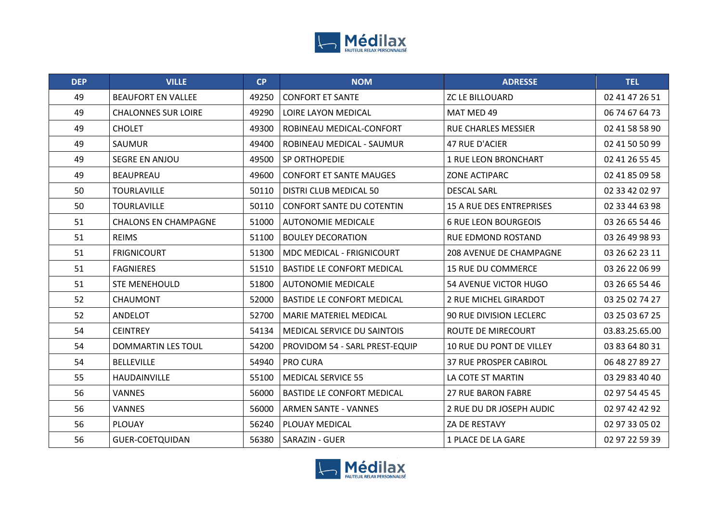

| <b>DEP</b> | <b>VILLE</b>                | CP    | <b>NOM</b>                        | <b>ADRESSE</b>                  | <b>TEL</b>     |
|------------|-----------------------------|-------|-----------------------------------|---------------------------------|----------------|
| 49         | <b>BEAUFORT EN VALLEE</b>   | 49250 | <b>CONFORT ET SANTE</b>           | <b>ZC LE BILLOUARD</b>          | 02 41 47 26 51 |
| 49         | <b>CHALONNES SUR LOIRE</b>  | 49290 | LOIRE LAYON MEDICAL               | MAT MED 49                      | 06 74 67 64 73 |
| 49         | <b>CHOLET</b>               | 49300 | ROBINEAU MEDICAL-CONFORT          | <b>RUE CHARLES MESSIER</b>      | 02 41 58 58 90 |
| 49         | SAUMUR                      | 49400 | ROBINEAU MEDICAL - SAUMUR         | 47 RUE D'ACIER                  | 02 41 50 50 99 |
| 49         | SEGRE EN ANJOU              | 49500 | SP ORTHOPEDIE                     | <b>1 RUE LEON BRONCHART</b>     | 02 41 26 55 45 |
| 49         | <b>BEAUPREAU</b>            | 49600 | <b>CONFORT ET SANTE MAUGES</b>    | <b>ZONE ACTIPARC</b>            | 02 41 85 09 58 |
| 50         | <b>TOURLAVILLE</b>          | 50110 | DISTRI CLUB MEDICAL 50            | <b>DESCAL SARL</b>              | 02 33 42 02 97 |
| 50         | <b>TOURLAVILLE</b>          | 50110 | <b>CONFORT SANTE DU COTENTIN</b>  | <b>15 A RUE DES ENTREPRISES</b> | 02 33 44 63 98 |
| 51         | <b>CHALONS EN CHAMPAGNE</b> | 51000 | <b>AUTONOMIE MEDICALE</b>         | <b>6 RUE LEON BOURGEOIS</b>     | 03 26 65 54 46 |
| 51         | <b>REIMS</b>                | 51100 | <b>BOULEY DECORATION</b>          | RUE EDMOND ROSTAND              | 03 26 49 98 93 |
| 51         | <b>FRIGNICOURT</b>          | 51300 | MDC MEDICAL - FRIGNICOURT         | <b>208 AVENUE DE CHAMPAGNE</b>  | 03 26 62 23 11 |
| 51         | <b>FAGNIERES</b>            | 51510 | <b>BASTIDE LE CONFORT MEDICAL</b> | <b>15 RUE DU COMMERCE</b>       | 03 26 22 06 99 |
| 51         | <b>STE MENEHOULD</b>        | 51800 | <b>AUTONOMIE MEDICALE</b>         | 54 AVENUE VICTOR HUGO           | 03 26 65 54 46 |
| 52         | <b>CHAUMONT</b>             | 52000 | <b>BASTIDE LE CONFORT MEDICAL</b> | 2 RUE MICHEL GIRARDOT           | 03 25 02 74 27 |
| 52         | ANDELOT                     | 52700 | <b>MARIE MATERIEL MEDICAL</b>     | <b>90 RUE DIVISION LECLERC</b>  | 03 25 03 67 25 |
| 54         | <b>CEINTREY</b>             | 54134 | MEDICAL SERVICE DU SAINTOIS       | ROUTE DE MIRECOURT              | 03.83.25.65.00 |
| 54         | <b>DOMMARTIN LES TOUL</b>   | 54200 | PROVIDOM 54 - SARL PREST-EQUIP    | 10 RUE DU PONT DE VILLEY        | 03 83 64 80 31 |
| 54         | <b>BELLEVILLE</b>           | 54940 | <b>PRO CURA</b>                   | <b>37 RUE PROSPER CABIROL</b>   | 06 48 27 89 27 |
| 55         | HAUDAINVILLE                | 55100 | <b>MEDICAL SERVICE 55</b>         | LA COTE ST MARTIN               | 03 29 83 40 40 |
| 56         | <b>VANNES</b>               | 56000 | <b>BASTIDE LE CONFORT MEDICAL</b> | <b>27 RUE BARON FABRE</b>       | 02 97 54 45 45 |
| 56         | <b>VANNES</b>               | 56000 | <b>ARMEN SANTE - VANNES</b>       | 2 RUE DU DR JOSEPH AUDIC        | 02 97 42 42 92 |
| 56         | <b>PLOUAY</b>               | 56240 | PLOUAY MEDICAL                    | ZA DE RESTAVY                   | 02 97 33 05 02 |
| 56         | <b>GUER-COETQUIDAN</b>      | 56380 | <b>SARAZIN - GUER</b>             | 1 PLACE DE LA GARE              | 02 97 22 59 39 |

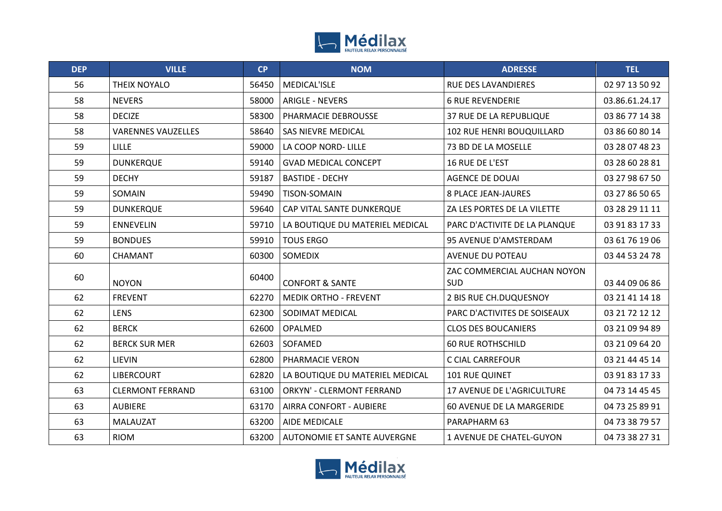

| <b>DEP</b> | <b>VILLE</b>              | CP    | <b>NOM</b>                      | <b>ADRESSE</b>                     | <b>TEL</b>     |
|------------|---------------------------|-------|---------------------------------|------------------------------------|----------------|
| 56         | THEIX NOYALO              | 56450 | MEDICAL'ISLE                    | RUE DES LAVANDIERES                | 02 97 13 50 92 |
| 58         | <b>NEVERS</b>             | 58000 | <b>ARIGLE - NEVERS</b>          | <b>6 RUE REVENDERIE</b>            | 03.86.61.24.17 |
| 58         | <b>DECIZE</b>             | 58300 | PHARMACIE DEBROUSSE             | 37 RUE DE LA REPUBLIQUE            | 03 86 77 14 38 |
| 58         | <b>VARENNES VAUZELLES</b> | 58640 | <b>SAS NIEVRE MEDICAL</b>       | 102 RUE HENRI BOUQUILLARD          | 03 86 60 80 14 |
| 59         | <b>LILLE</b>              | 59000 | LA COOP NORD- LILLE             | 73 BD DE LA MOSELLE                | 03 28 07 48 23 |
| 59         | <b>DUNKERQUE</b>          | 59140 | <b>GVAD MEDICAL CONCEPT</b>     | 16 RUE DE L'EST                    | 03 28 60 28 81 |
| 59         | <b>DECHY</b>              | 59187 | <b>BASTIDE - DECHY</b>          | <b>AGENCE DE DOUAI</b>             | 03 27 98 67 50 |
| 59         | SOMAIN                    | 59490 | <b>TISON-SOMAIN</b>             | <b>8 PLACE JEAN-JAURES</b>         | 03 27 86 50 65 |
| 59         | <b>DUNKERQUE</b>          | 59640 | CAP VITAL SANTE DUNKERQUE       | ZA LES PORTES DE LA VILETTE        | 03 28 29 11 11 |
| 59         | <b>ENNEVELIN</b>          | 59710 | LA BOUTIQUE DU MATERIEL MEDICAL | PARC D'ACTIVITE DE LA PLANQUE      | 03 91 83 17 33 |
| 59         | <b>BONDUES</b>            | 59910 | <b>TOUS ERGO</b>                | 95 AVENUE D'AMSTERDAM              | 03 61 76 19 06 |
| 60         | <b>CHAMANT</b>            | 60300 | SOMEDIX                         | <b>AVENUE DU POTEAU</b>            | 03 44 53 24 78 |
| 60         | <b>NOYON</b>              | 60400 | <b>CONFORT &amp; SANTE</b>      | ZAC COMMERCIAL AUCHAN NOYON<br>SUD | 03 44 09 06 86 |
| 62         | <b>FREVENT</b>            | 62270 | <b>MEDIK ORTHO - FREVENT</b>    | 2 BIS RUE CH.DUQUESNOY             | 03 21 41 14 18 |
| 62         | <b>LENS</b>               | 62300 | SODIMAT MEDICAL                 | PARC D'ACTIVITES DE SOISEAUX       | 03 21 72 12 12 |
| 62         | <b>BERCK</b>              | 62600 | OPALMED                         | <b>CLOS DES BOUCANIERS</b>         | 03 21 09 94 89 |
| 62         | <b>BERCK SUR MER</b>      | 62603 | SOFAMED                         | <b>60 RUE ROTHSCHILD</b>           | 03 21 09 64 20 |
| 62         | LIEVIN                    | 62800 | PHARMACIE VERON                 | C CIAL CARREFOUR                   | 03 21 44 45 14 |
| 62         | <b>LIBERCOURT</b>         | 62820 | LA BOUTIQUE DU MATERIEL MEDICAL | 101 RUE QUINET                     | 03 91 83 17 33 |
| 63         | <b>CLERMONT FERRAND</b>   | 63100 | ORKYN' - CLERMONT FERRAND       | 17 AVENUE DE L'AGRICULTURE         | 04 73 14 45 45 |
| 63         | <b>AUBIERE</b>            | 63170 | AIRRA CONFORT - AUBIERE         | 60 AVENUE DE LA MARGERIDE          | 04 73 25 89 91 |
| 63         | MALAUZAT                  | 63200 | AIDE MEDICALE                   | PARAPHARM 63                       | 04 73 38 79 57 |
| 63         | <b>RIOM</b>               | 63200 | AUTONOMIE ET SANTE AUVERGNE     | 1 AVENUE DE CHATEL-GUYON           | 04 73 38 27 31 |

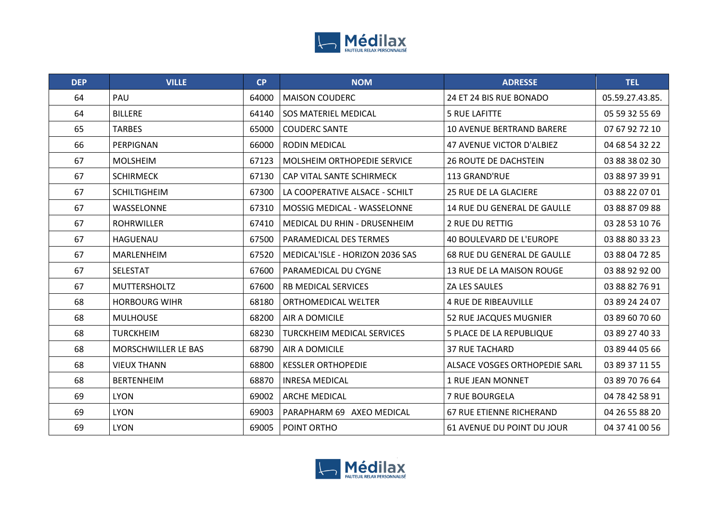

| <b>DEP</b> | <b>VILLE</b>         | CP    | <b>NOM</b>                         | <b>ADRESSE</b>                     | <b>TEL</b>      |
|------------|----------------------|-------|------------------------------------|------------------------------------|-----------------|
| 64         | PAU                  | 64000 | <b>MAISON COUDERC</b>              | 24 ET 24 BIS RUE BONADO            | 05.59.27.43.85. |
| 64         | <b>BILLERE</b>       | 64140 | <b>SOS MATERIEL MEDICAL</b>        | <b>5 RUE LAFITTE</b>               | 05 59 32 55 69  |
| 65         | <b>TARBES</b>        | 65000 | <b>COUDERC SANTE</b>               | <b>10 AVENUE BERTRAND BARERE</b>   | 07 67 92 72 10  |
| 66         | PERPIGNAN            | 66000 | <b>RODIN MEDICAL</b>               | <b>47 AVENUE VICTOR D'ALBIEZ</b>   | 04 68 54 32 22  |
| 67         | <b>MOLSHEIM</b>      | 67123 | <b>MOLSHEIM ORTHOPEDIE SERVICE</b> | <b>26 ROUTE DE DACHSTEIN</b>       | 03 88 38 02 30  |
| 67         | <b>SCHIRMECK</b>     | 67130 | CAP VITAL SANTE SCHIRMECK          | 113 GRAND'RUE                      | 03 88 97 39 91  |
| 67         | <b>SCHILTIGHEIM</b>  | 67300 | LA COOPERATIVE ALSACE - SCHILT     | 25 RUE DE LA GLACIERE              | 03 88 22 07 01  |
| 67         | WASSELONNE           | 67310 | <b>MOSSIG MEDICAL - WASSELONNE</b> | <b>14 RUE DU GENERAL DE GAULLE</b> | 03 88 87 09 88  |
| 67         | <b>ROHRWILLER</b>    | 67410 | MEDICAL DU RHIN - DRUSENHEIM       | 2 RUE DU RETTIG                    | 03 28 53 10 76  |
| 67         | HAGUENAU             | 67500 | <b>PARAMEDICAL DES TERMES</b>      | 40 BOULEVARD DE L'EUROPE           | 03 88 80 33 23  |
| 67         | MARLENHEIM           | 67520 | MEDICAL'ISLE - HORIZON 2036 SAS    | 68 RUE DU GENERAL DE GAULLE        | 03 88 04 72 85  |
| 67         | <b>SELESTAT</b>      | 67600 | PARAMEDICAL DU CYGNE               | 13 RUE DE LA MAISON ROUGE          | 03 88 92 92 00  |
| 67         | MUTTERSHOLTZ         | 67600 | RB MEDICAL SERVICES                | ZA LES SAULES                      | 03 88 82 76 91  |
| 68         | <b>HORBOURG WIHR</b> | 68180 | ORTHOMEDICAL WELTER                | <b>4 RUE DE RIBEAUVILLE</b>        | 03 89 24 24 07  |
| 68         | <b>MULHOUSE</b>      | 68200 | AIR A DOMICILE                     | 52 RUE JACQUES MUGNIER             | 03 89 60 70 60  |
| 68         | <b>TURCKHEIM</b>     | 68230 | <b>TURCKHEIM MEDICAL SERVICES</b>  | <b>5 PLACE DE LA REPUBLIQUE</b>    | 03 89 27 40 33  |
| 68         | MORSCHWILLER LE BAS  | 68790 | AIR A DOMICILE                     | <b>37 RUE TACHARD</b>              | 03 89 44 05 66  |
| 68         | <b>VIEUX THANN</b>   | 68800 | <b>KESSLER ORTHOPEDIE</b>          | ALSACE VOSGES ORTHOPEDIE SARL      | 03 89 37 11 55  |
| 68         | <b>BERTENHEIM</b>    | 68870 | <b>INRESA MEDICAL</b>              | 1 RUE JEAN MONNET                  | 03 89 70 76 64  |
| 69         | <b>LYON</b>          | 69002 | <b>ARCHE MEDICAL</b>               | 7 RUE BOURGELA                     | 04 78 42 58 91  |
| 69         | <b>LYON</b>          | 69003 | PARAPHARM 69 AXEO MEDICAL          | 67 RUE ETIENNE RICHERAND           | 04 26 55 88 20  |
| 69         | <b>LYON</b>          | 69005 | POINT ORTHO                        | 61 AVENUE DU POINT DU JOUR         | 04 37 41 00 56  |

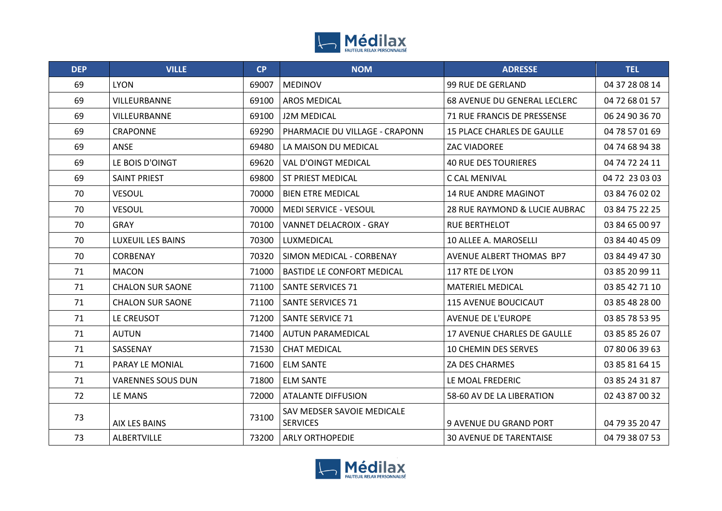

| <b>DEP</b> | <b>VILLE</b>             | <b>CP</b> | <b>NOM</b>                                    | <b>ADRESSE</b>                  | <b>TEL</b>     |
|------------|--------------------------|-----------|-----------------------------------------------|---------------------------------|----------------|
| 69         | <b>LYON</b>              | 69007     | <b>MEDINOV</b>                                | <b>99 RUE DE GERLAND</b>        | 04 37 28 08 14 |
| 69         | VILLEURBANNE             | 69100     | <b>AROS MEDICAL</b>                           | 68 AVENUE DU GENERAL LECLERC    | 04 72 68 01 57 |
| 69         | VILLEURBANNE             | 69100     | <b>J2M MEDICAL</b>                            | 71 RUE FRANCIS DE PRESSENSE     | 06 24 90 36 70 |
| 69         | <b>CRAPONNE</b>          | 69290     | PHARMACIE DU VILLAGE - CRAPONN                | 15 PLACE CHARLES DE GAULLE      | 04 78 57 01 69 |
| 69         | ANSE                     | 69480     | LA MAISON DU MEDICAL                          | ZAC VIADOREE                    | 04 74 68 94 38 |
| 69         | LE BOIS D'OINGT          | 69620     | <b>VAL D'OINGT MEDICAL</b>                    | <b>40 RUE DES TOURIERES</b>     | 04 74 72 24 11 |
| 69         | <b>SAINT PRIEST</b>      | 69800     | ST PRIEST MEDICAL                             | C CAL MENIVAL                   | 04 72 23 03 03 |
| 70         | <b>VESOUL</b>            | 70000     | <b>BIEN ETRE MEDICAL</b>                      | <b>14 RUE ANDRE MAGINOT</b>     | 03 84 76 02 02 |
| 70         | <b>VESOUL</b>            | 70000     | <b>MEDI SERVICE - VESOUL</b>                  | 28 RUE RAYMOND & LUCIE AUBRAC   | 03 84 75 22 25 |
| 70         | <b>GRAY</b>              | 70100     | <b>VANNET DELACROIX - GRAY</b>                | <b>RUE BERTHELOT</b>            | 03 84 65 00 97 |
| 70         | LUXEUIL LES BAINS        | 70300     | LUXMEDICAL                                    | 10 ALLEE A. MAROSELLI           | 03 84 40 45 09 |
| 70         | <b>CORBENAY</b>          | 70320     | SIMON MEDICAL - CORBENAY                      | <b>AVENUE ALBERT THOMAS BP7</b> | 03 84 49 47 30 |
| 71         | <b>MACON</b>             | 71000     | <b>BASTIDE LE CONFORT MEDICAL</b>             | 117 RTE DE LYON                 | 03 85 20 99 11 |
| 71         | <b>CHALON SUR SAONE</b>  | 71100     | <b>SANTE SERVICES 71</b>                      | <b>MATERIEL MEDICAL</b>         | 03 85 42 71 10 |
| 71         | <b>CHALON SUR SAONE</b>  | 71100     | <b>SANTE SERVICES 71</b>                      | <b>115 AVENUE BOUCICAUT</b>     | 03 85 48 28 00 |
| 71         | LE CREUSOT               | 71200     | <b>SANTE SERVICE 71</b>                       | <b>AVENUE DE L'EUROPE</b>       | 03 85 78 53 95 |
| 71         | <b>AUTUN</b>             | 71400     | AUTUN PARAMEDICAL                             | 17 AVENUE CHARLES DE GAULLE     | 03 85 85 26 07 |
| 71         | SASSENAY                 | 71530     | <b>CHAT MEDICAL</b>                           | <b>10 CHEMIN DES SERVES</b>     | 07 80 06 39 63 |
| 71         | PARAY LE MONIAL          | 71600     | <b>ELM SANTE</b>                              | ZA DES CHARMES                  | 03 85 81 64 15 |
| 71         | <b>VARENNES SOUS DUN</b> | 71800     | <b>ELM SANTE</b>                              | LE MOAL FREDERIC                | 03 85 24 31 87 |
| 72         | LE MANS                  | 72000     | <b>ATALANTE DIFFUSION</b>                     | 58-60 AV DE LA LIBERATION       | 02 43 87 00 32 |
| 73         | AIX LES BAINS            | 73100     | SAV MEDSER SAVOIE MEDICALE<br><b>SERVICES</b> | 9 AVENUE DU GRAND PORT          | 04 79 35 20 47 |
| 73         | <b>ALBERTVILLE</b>       | 73200     | <b>ARLY ORTHOPEDIE</b>                        | <b>30 AVENUE DE TARENTAISE</b>  | 04 79 38 07 53 |

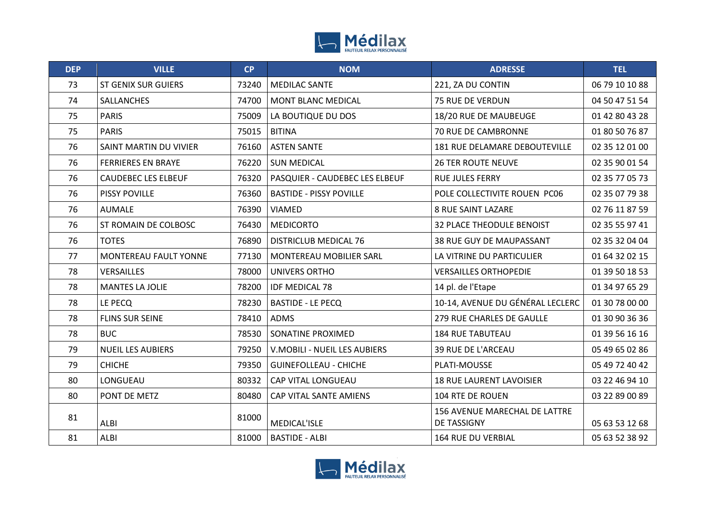

| <b>DEP</b> | <b>VILLE</b>               | <b>CP</b> | <b>NOM</b>                          | <b>ADRESSE</b>                                      | <b>TEL</b>     |
|------------|----------------------------|-----------|-------------------------------------|-----------------------------------------------------|----------------|
| 73         | <b>ST GENIX SUR GUIERS</b> | 73240     | <b>MEDILAC SANTE</b>                | 221, ZA DU CONTIN                                   | 06 79 10 10 88 |
| 74         | SALLANCHES                 | 74700     | <b>MONT BLANC MEDICAL</b>           | 75 RUE DE VERDUN                                    | 04 50 47 51 54 |
| 75         | <b>PARIS</b>               | 75009     | LA BOUTIQUE DU DOS                  | 18/20 RUE DE MAUBEUGE                               | 01 42 80 43 28 |
| 75         | <b>PARIS</b>               | 75015     | <b>BITINA</b>                       | 70 RUE DE CAMBRONNE                                 | 01 80 50 76 87 |
| 76         | SAINT MARTIN DU VIVIER     | 76160     | <b>ASTEN SANTE</b>                  | 181 RUE DELAMARE DEBOUTEVILLE                       | 02 35 12 01 00 |
| 76         | <b>FERRIERES EN BRAYE</b>  | 76220     | <b>SUN MEDICAL</b>                  | <b>26 TER ROUTE NEUVE</b>                           | 02 35 90 01 54 |
| 76         | <b>CAUDEBEC LES ELBEUF</b> | 76320     | PASQUIER - CAUDEBEC LES ELBEUF      | <b>RUE JULES FERRY</b>                              | 02 35 77 05 73 |
| 76         | PISSY POVILLE              | 76360     | <b>BASTIDE - PISSY POVILLE</b>      | POLE COLLECTIVITE ROUEN PC06                        | 02 35 07 79 38 |
| 76         | <b>AUMALE</b>              | 76390     | <b>VIAMED</b>                       | <b>8 RUE SAINT LAZARE</b>                           | 02 76 11 87 59 |
| 76         | ST ROMAIN DE COLBOSC       | 76430     | <b>MEDICORTO</b>                    | <b>32 PLACE THEODULE BENOIST</b>                    | 02 35 55 97 41 |
| 76         | <b>TOTES</b>               | 76890     | <b>DISTRICLUB MEDICAL 76</b>        | 38 RUE GUY DE MAUPASSANT                            | 02 35 32 04 04 |
| 77         | MONTEREAU FAULT YONNE      | 77130     | MONTEREAU MOBILIER SARL             | LA VITRINE DU PARTICULIER                           | 01 64 32 02 15 |
| 78         | VERSAILLES                 | 78000     | UNIVERS ORTHO                       | <b>VERSAILLES ORTHOPEDIE</b>                        | 01 39 50 18 53 |
| 78         | <b>MANTES LA JOLIE</b>     | 78200     | <b>IDF MEDICAL 78</b>               | 14 pl. de l'Etape                                   | 01 34 97 65 29 |
| 78         | LE PECQ                    | 78230     | <b>BASTIDE - LE PECQ</b>            | 10-14, AVENUE DU GÉNÉRAL LECLERC                    | 01 30 78 00 00 |
| 78         | <b>FLINS SUR SEINE</b>     | 78410     | <b>ADMS</b>                         | 279 RUE CHARLES DE GAULLE                           | 01 30 90 36 36 |
| 78         | <b>BUC</b>                 | 78530     | SONATINE PROXIMED                   | <b>184 RUE TABUTEAU</b>                             | 01 39 56 16 16 |
| 79         | <b>NUEIL LES AUBIERS</b>   | 79250     | <b>V.MOBILI - NUEIL LES AUBIERS</b> | <b>39 RUE DE L'ARCEAU</b>                           | 05 49 65 02 86 |
| 79         | <b>CHICHE</b>              | 79350     | <b>GUINEFOLLEAU - CHICHE</b>        | PLATI-MOUSSE                                        | 05 49 72 40 42 |
| 80         | LONGUEAU                   | 80332     | CAP VITAL LONGUEAU                  | <b>18 RUE LAURENT LAVOISIER</b>                     | 03 22 46 94 10 |
| 80         | PONT DE METZ               | 80480     | CAP VITAL SANTE AMIENS              | 104 RTE DE ROUEN                                    | 03 22 89 00 89 |
| 81         | ALBI                       | 81000     | MEDICAL'ISLE                        | 156 AVENUE MARECHAL DE LATTRE<br><b>DE TASSIGNY</b> | 05 63 53 12 68 |
| 81         | <b>ALBI</b>                | 81000     | <b>BASTIDE - ALBI</b>               | 164 RUE DU VERBIAL                                  | 05 63 52 38 92 |

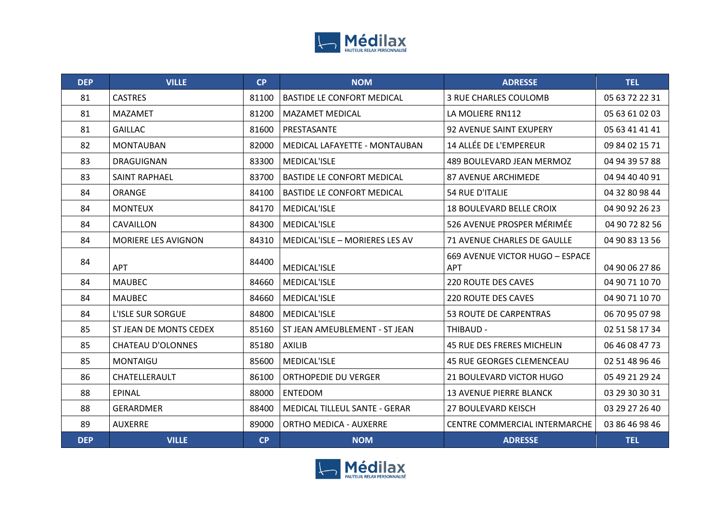

| <b>DEP</b> | <b>VILLE</b>             | <b>CP</b> | <b>NOM</b>                        | <b>ADRESSE</b>                                | <b>TEL</b>     |
|------------|--------------------------|-----------|-----------------------------------|-----------------------------------------------|----------------|
| 81         | <b>CASTRES</b>           | 81100     | <b>BASTIDE LE CONFORT MEDICAL</b> | 3 RUE CHARLES COULOMB                         | 05 63 72 22 31 |
| 81         | <b>MAZAMET</b>           | 81200     | <b>MAZAMET MEDICAL</b>            | LA MOLIERE RN112                              | 05 63 61 02 03 |
| 81         | <b>GAILLAC</b>           | 81600     | PRESTASANTE                       | <b>92 AVENUE SAINT EXUPERY</b>                | 05 63 41 41 41 |
| 82         | <b>MONTAUBAN</b>         | 82000     | MEDICAL LAFAYETTE - MONTAUBAN     | 14 ALLÉE DE L'EMPEREUR                        | 09 84 02 15 71 |
| 83         | <b>DRAGUIGNAN</b>        | 83300     | MEDICAL'ISLE                      | 489 BOULEVARD JEAN MERMOZ                     | 04 94 39 57 88 |
| 83         | <b>SAINT RAPHAEL</b>     | 83700     | <b>BASTIDE LE CONFORT MEDICAL</b> | <b>87 AVENUE ARCHIMEDE</b>                    | 04 94 40 40 91 |
| 84         | ORANGE                   | 84100     | <b>BASTIDE LE CONFORT MEDICAL</b> | <b>54 RUE D'ITALIE</b>                        | 04 32 80 98 44 |
| 84         | <b>MONTEUX</b>           | 84170     | MEDICAL'ISLE                      | <b>18 BOULEVARD BELLE CROIX</b>               | 04 90 92 26 23 |
| 84         | CAVAILLON                | 84300     | MEDICAL'ISLE                      | 526 AVENUE PROSPER MÉRIMÉE                    | 04 90 72 82 56 |
| 84         | MORIERE LES AVIGNON      | 84310     | MEDICAL'ISLE - MORIERES LES AV    | <b>71 AVENUE CHARLES DE GAULLE</b>            | 04 90 83 13 56 |
| 84         | <b>APT</b>               | 84400     | <b>MEDICAL'ISLE</b>               | 669 AVENUE VICTOR HUGO - ESPACE<br><b>APT</b> | 04 90 06 27 86 |
| 84         | <b>MAUBEC</b>            | 84660     | MEDICAL'ISLE                      | <b>220 ROUTE DES CAVES</b>                    | 04 90 71 10 70 |
| 84         | <b>MAUBEC</b>            | 84660     | MEDICAL'ISLE                      | <b>220 ROUTE DES CAVES</b>                    | 04 90 71 10 70 |
| 84         | <b>L'ISLE SUR SORGUE</b> | 84800     | <b>MEDICAL'ISLE</b>               | <b>53 ROUTE DE CARPENTRAS</b>                 | 06 70 95 07 98 |
| 85         | ST JEAN DE MONTS CEDEX   | 85160     | ST JEAN AMEUBLEMENT - ST JEAN     | THIBAUD -                                     | 02 51 58 17 34 |
| 85         | <b>CHATEAU D'OLONNES</b> | 85180     | <b>AXILIB</b>                     | <b>45 RUE DES FRERES MICHELIN</b>             | 06 46 08 47 73 |
| 85         | <b>MONTAIGU</b>          | 85600     | MEDICAL'ISLE                      | <b>45 RUE GEORGES CLEMENCEAU</b>              | 02 51 48 96 46 |
| 86         | CHATELLERAULT            | 86100     | <b>ORTHOPEDIE DU VERGER</b>       | 21 BOULEVARD VICTOR HUGO                      | 05 49 21 29 24 |
| 88         | <b>EPINAL</b>            | 88000     | <b>ENTEDOM</b>                    | <b>13 AVENUE PIERRE BLANCK</b>                | 03 29 30 30 31 |
| 88         | <b>GERARDMER</b>         | 88400     | MEDICAL TILLEUL SANTE - GERAR     | <b>27 BOULEVARD KEISCH</b>                    | 03 29 27 26 40 |
| 89         | <b>AUXERRE</b>           | 89000     | <b>ORTHO MEDICA - AUXERRE</b>     | <b>CENTRE COMMERCIAL INTERMARCHE</b>          | 03 86 46 98 46 |
| <b>DEP</b> | <b>VILLE</b>             | <b>CP</b> | <b>NOM</b>                        | <b>ADRESSE</b>                                | <b>TEL</b>     |